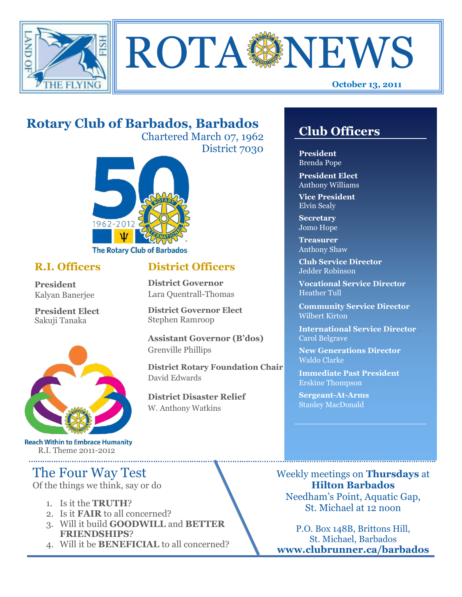



# **Rotary Club of Barbados, Barbados**

Chartered March 07, 1962 District 7030

**District Officers**

**District Governor Elect**

**District Disaster Relief**

W. Anthony Watkins

**Assistant Governor (B'dos)**

**District Rotary Foundation Chair**

**District Governor** Lara Quentrall-Thomas

Stephen Ramroop

Grenville Phillips

David Edwards



## **R.I. Officers**

**President**  Kalyan Banerjee

**President Elect** Sakuji Tanaka



**Reach Within to Embrace Humanity** R.I. Theme 2011-2012

## The Four Way Test

Of the things we think, say or do

- 1. Is it the **TRUTH**?
- 2. Is it **FAIR** to all concerned?
- 3. Will it build **GOODWILL** and **BETTER FRIENDSHIPS**?
- 4. Will it be **BENEFICIAL** to all concerned?

# **Club Officers**

**Club Officers** 

**President** Brenda Pope

**President Elect** Anthony Williams

**Vice President** Elvin Sealy

**Secretary** Jomo Hope

**Treasurer** Anthony Shaw

**Club Service Director** Jedder Robinson

**Vocational Service Director** Heather Tull

**Community Service Director** Wilbert Kirton

**International Service Director** Carol Belgrave

**New Generations Director** Waldo Clarke

**Immediate Past President** Erskine Thompson

**Sergeant-At-Arms** Stanley MacDonald

Weekly meetings on **Thursdays** at **Hilton Barbados** Needham's Point, Aquatic Gap, St. Michael at 12 noon

P.O. Box 148B, Brittons Hill, St. Michael, Barbados **www.clubrunner.ca/barbados**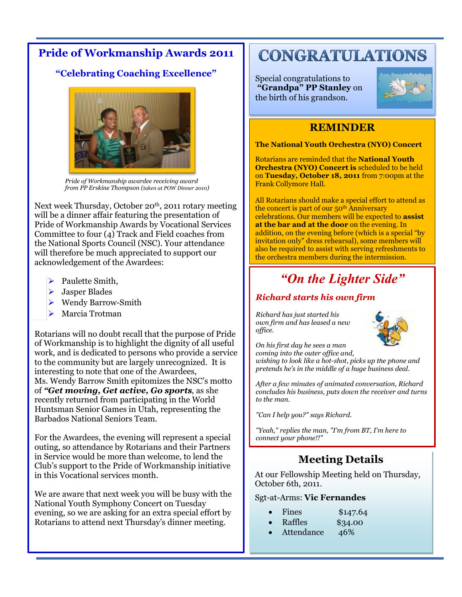## **Pride of Workmanship Awards 2011**

## **"Celebrating Coaching Excellence"**



*Pride of Workmanship awardee receiving award from PP Erskine Thompson (taken at POW Dinner 2010)*

Next week Thursday, October 20<sup>th</sup>, 2011 rotary meeting will be a dinner affair featuring the presentation of Pride of Workmanship Awards by Vocational Services Committee to four (4) Track and Field coaches from the National Sports Council (NSC). Your attendance will therefore be much appreciated to support our acknowledgement of the Awardees:

- $\triangleright$  Paulette Smith,
- > Jasper Blades
- ▶ Wendy Barrow-Smith
- ▶ Marcia Trotman

Rotarians will no doubt recall that the purpose of Pride of Workmanship is to highlight the dignity of all useful work, and is dedicated to persons who provide a service to the community but are largely unrecognized. It is interesting to note that one of the Awardees, Ms. Wendy Barrow Smith epitomizes the NSC's motto of *"Get moving, Get active, Go sports*, as she recently returned from participating in the World Huntsman Senior Games in Utah, representing the Barbados National Seniors Team.

For the Awardees, the evening will represent a special outing, so attendance by Rotarians and their Partners in Service would be more than welcome, to lend the Club's support to the Pride of Workmanship initiative in this Vocational services month.

We are aware that next week you will be busy with the National Youth Symphony Concert on Tuesday evening, so we are asking for an extra special effort by Rotarians to attend next Thursday's dinner meeting.

# **CONGRATULATIONS**

Special congratulations to **"Grandpa" PP Stanley** on the birth of his grandson.



## **REMINDER**

**The National Youth Orchestra (NYO) Concert** 

Rotarians are reminded that the **National Youth Orchestra (NYO) Concert is** scheduled to be held on **Tuesday, October 18, 2011** from 7:00pm at the Frank Collymore Hall.

All Rotarians should make a special effort to attend as the concert is part of our 50<sup>th</sup> Anniversary celebrations. Our members will be expected to **assist at the bar and at the door** on the evening. In addition, on the evening before (which is a special "by invitation only" dress rehearsal), some members will also be required to assist with serving refreshments to the orchestra members during the intermission.

# *"On the Lighter Side"*

## *Richard starts his own firm*

*Richard has just started his own firm and has leased a new office.*



*On his first day he sees a man coming into the outer office and, wishing to look like a hot-shot, picks up the phone and pretends he's in the middle of a huge business deal.*

*After a few minutes of animated conversation, Richard concludes his business, puts down the receiver and turns to the man.*

*"Can I help you?" says Richard.*

*"Yeah," replies the man, "I'm from BT, I'm here to connect your phone!!"*

## **Meeting Details**

At our Fellowship Meeting held on Thursday, October 6th, 2011.

### Sgt-at-Arms: **Vic Fernandes**

- Fines \$147.64
- Raffles \$34.00
- Attendance 46%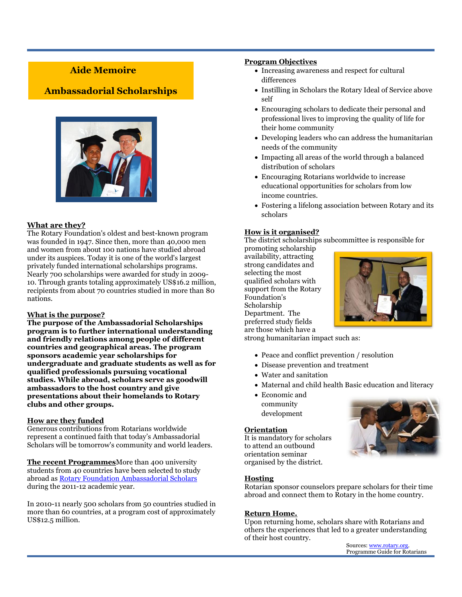## **Aide Memoire**

### **Ambassadorial Scholarships**



### **What are they?**

The Rotary Foundation's oldest and best-known program was founded in 1947. Since then, more than 40,000 men and women from about 100 nations have studied abroad under its auspices. Today it is one of the world's largest privately funded international scholarships programs. Nearly 700 scholarships were awarded for study in 2009- 10. Through grants totaling approximately US\$16.2 million, recipients from about 70 countries studied in more than 80 nations.

#### **What is the purpose?**

**The purpose of the Ambassadorial Scholarships program is to further international understanding and friendly relations among people of different countries and geographical areas. The program sponsors academic year scholarships for undergraduate and graduate students as well as for qualified professionals pursuing vocational studies. While abroad, scholars serve as goodwill ambassadors to the host country and give presentations about their homelands to Rotary clubs and other groups.** 

#### **How are they funded**

Generous contributions from Rotarians worldwide represent a continued faith that today's Ambassadorial Scholars will be tomorrow's community and world leaders.

**The recent Programmes**More than 400 university students from 40 countries have been selected to study abroad as [Rotary Foundation Ambassadorial Scholars](http://www.rotary.org/en/StudentsAndYouth/EducationalPrograms/AmbassadorialScholarships/Pages/ridefault.aspx) during the 2011-12 academic year.

In 2010-11 nearly 500 scholars from 50 countries studied in more than 60 countries, at a program cost of approximately US\$12.5 million.

#### **Program Objectives**

- Increasing awareness and respect for cultural differences
- Instilling in Scholars the Rotary Ideal of Service above self
- Encouraging scholars to dedicate their personal and professional lives to improving the quality of life for their home community
- Developing leaders who can address the humanitarian needs of the community
- Impacting all areas of the world through a balanced distribution of scholars
- Encouraging Rotarians worldwide to increase educational opportunities for scholars from low income countries.
- Fostering a lifelong association between Rotary and its scholars

### **How is it organised?**

The district scholarships subcommittee is responsible for

promoting scholarship availability, attracting strong candidates and selecting the most qualified scholars with support from the Rotary Foundation's Scholarship Department. The preferred study fields are those which have a



strong humanitarian impact such as:

- Peace and conflict prevention / resolution
- Disease prevention and treatment
- Water and sanitation
- Maternal and child health Basic education and literacy
- Economic and community development

#### **Orientation**

It is mandatory for scholars to attend an outbound orientation seminar organised by the district.

#### **Hosting**

Rotarian sponsor counselors prepare scholars for their time abroad and connect them to Rotary in the home country.

#### **Return Home.**

Upon returning home, scholars share with Rotarians and others the experiences that led to a greater understanding of their host country.

Sources[: www.rotary.org.](http://www.rotary.org/) Programme Guide for Rotarians